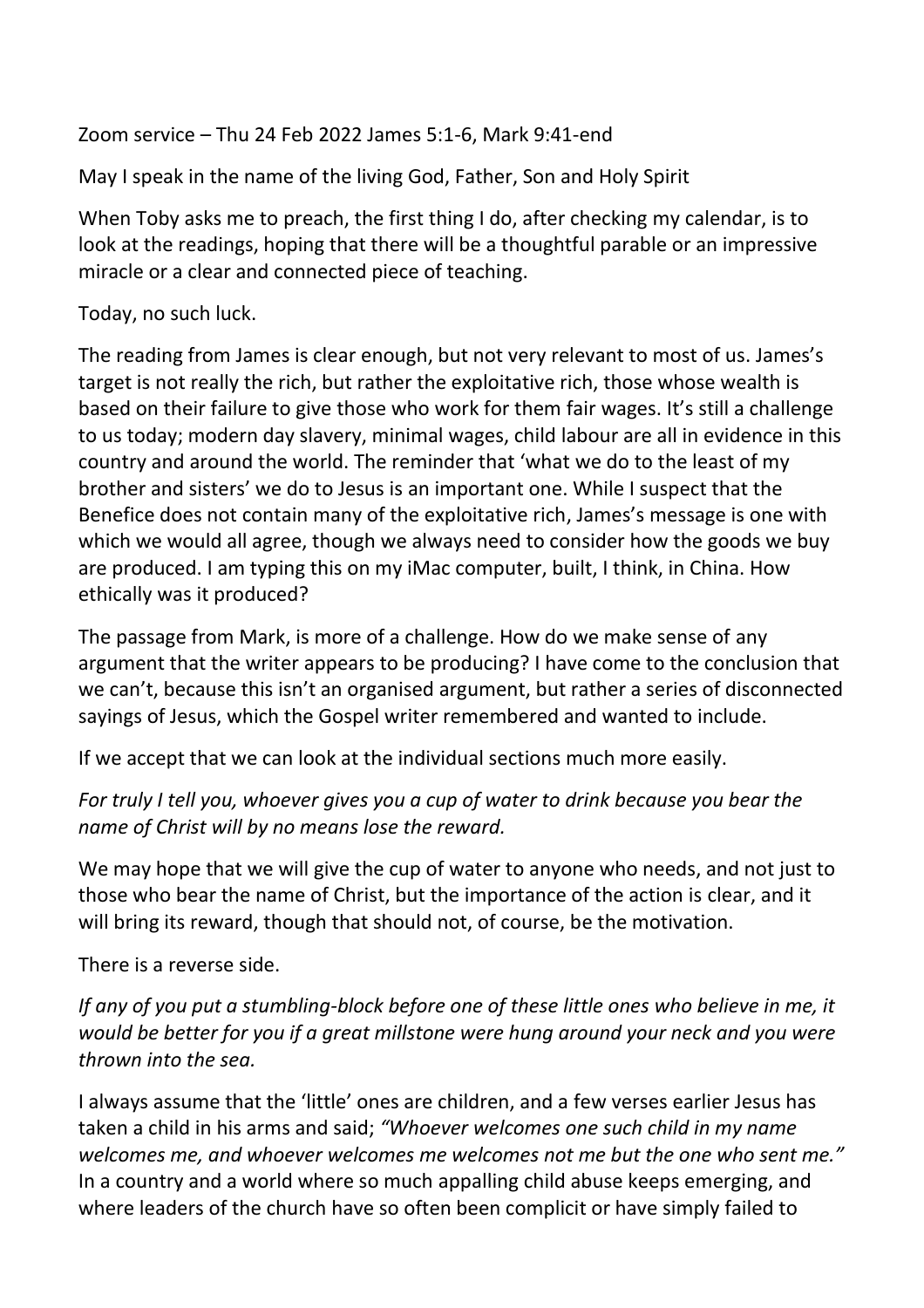Zoom service – Thu 24 Feb 2022 James 5:1-6, Mark 9:41-end

May I speak in the name of the living God, Father, Son and Holy Spirit

When Toby asks me to preach, the first thing I do, after checking my calendar, is to look at the readings, hoping that there will be a thoughtful parable or an impressive miracle or a clear and connected piece of teaching.

Today, no such luck.

The reading from James is clear enough, but not very relevant to most of us. James's target is not really the rich, but rather the exploitative rich, those whose wealth is based on their failure to give those who work for them fair wages. It's still a challenge to us today; modern day slavery, minimal wages, child labour are all in evidence in this country and around the world. The reminder that 'what we do to the least of my brother and sisters' we do to Jesus is an important one. While I suspect that the Benefice does not contain many of the exploitative rich, James's message is one with which we would all agree, though we always need to consider how the goods we buy are produced. I am typing this on my iMac computer, built, I think, in China. How ethically was it produced?

The passage from Mark, is more of a challenge. How do we make sense of any argument that the writer appears to be producing? I have come to the conclusion that we can't, because this isn't an organised argument, but rather a series of disconnected sayings of Jesus, which the Gospel writer remembered and wanted to include.

If we accept that we can look at the individual sections much more easily.

*For truly I tell you, whoever gives you a cup of water to drink because you bear the name of Christ will by no means lose the reward.*

We may hope that we will give the cup of water to anyone who needs, and not just to those who bear the name of Christ, but the importance of the action is clear, and it will bring its reward, though that should not, of course, be the motivation.

There is a reverse side.

*If any of you put a stumbling-block before one of these little ones who believe in me, it would be better for you if a great millstone were hung around your neck and you were thrown into the sea.*

I always assume that the 'little' ones are children, and a few verses earlier Jesus has taken a child in his arms and said; *"Whoever welcomes one such child in my name welcomes me, and whoever welcomes me welcomes not me but the one who sent me."* In a country and a world where so much appalling child abuse keeps emerging, and where leaders of the church have so often been complicit or have simply failed to